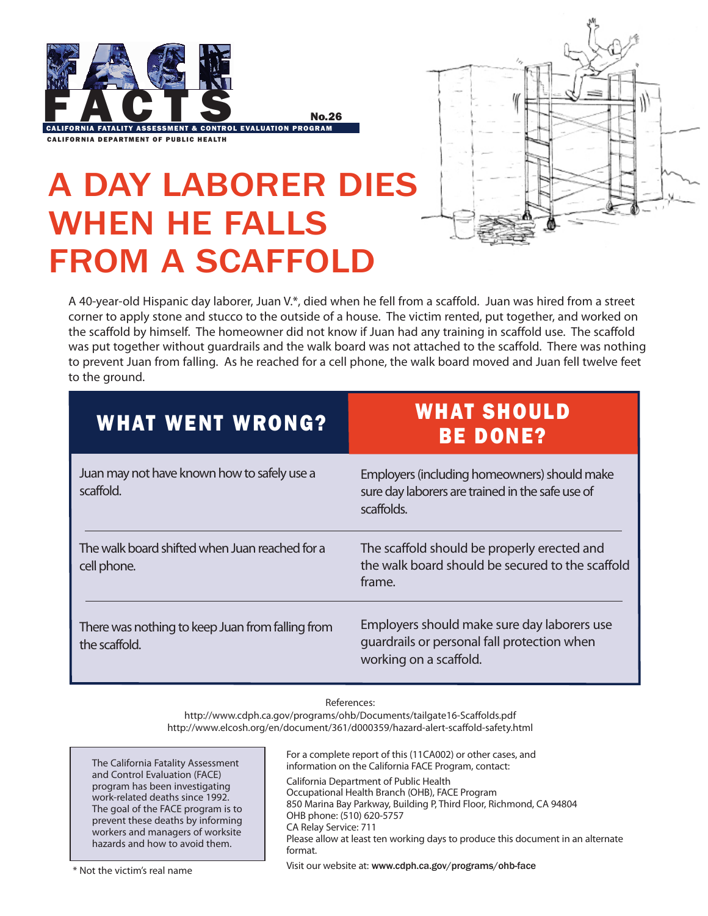



## A Day Laborer Dies When He Falls from a scaffold

A 40-year-old Hispanic day laborer, Juan V.\*, died when he fell from a scaffold. Juan was hired from a street corner to apply stone and stucco to the outside of a house. The victim rented, put together, and worked on the scaffold by himself. The homeowner did not know if Juan had any training in scaffold use. The scaffold was put together without guardrails and the walk board was not attached to the scaffold. There was nothing to prevent Juan from falling. As he reached for a cell phone, the walk board moved and Juan fell twelve feet to the ground.

| <b>WHAT WENT WRONG?</b>                                           | <b>WHAT SHOULD</b><br><b>BE DONE?</b>                                                                                |
|-------------------------------------------------------------------|----------------------------------------------------------------------------------------------------------------------|
| Juan may not have known how to safely use a<br>scaffold.          | Employers (including homeowners) should make<br>sure day laborers are trained in the safe use of<br>scaffolds.       |
| The walk board shifted when Juan reached for a<br>cell phone.     | The scaffold should be properly erected and<br>the walk board should be secured to the scaffold<br>frame.            |
| There was nothing to keep Juan from falling from<br>the scaffold. | Employers should make sure day laborers use<br>quardrails or personal fall protection when<br>working on a scaffold. |

## References:

http://www.cdph.ca.gov/programs/ohb/Documents/tailgate16-Scaffolds.pdf http://www.elcosh.org/en/document/361/d000359/hazard-alert-scaffold-safety.html

The California Fatality Assessment and Control Evaluation (FACE) program has been investigating work-related deaths since 1992. The goal of the FACE program is to prevent these deaths by informing workers and managers of worksite hazards and how to avoid them.

For a complete report of this (11CA002) or other cases, and information on the California FACE Program, contact: California Department of Public Health Occupational Health Branch (OHB), FACE Program 850 Marina Bay Parkway, Building P, Third Floor, Richmond, CA 94804 OHB phone: (510) 620-5757 CA Relay Service: 711 Please allow at least ten working days to produce this document in an alternate format. Visit our website at: www.cdph.ca.gov/programs/ohb-face